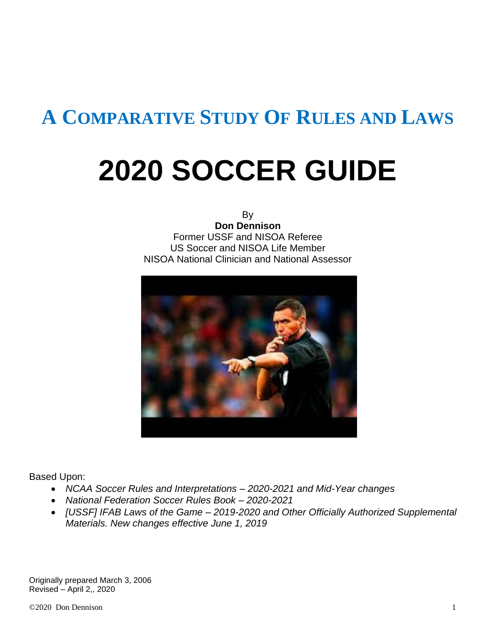## **A COMPARATIVE STUDY OF RULES AND LAWS**

## **2020 SOCCER GUIDE**

By **Don Dennison** Former USSF and NISOA Referee US Soccer and NISOA Life Member NISOA National Clinician and National Assessor



Based Upon:

- *NCAA Soccer Rules and Interpretations – 2020-2021 and Mid-Year changes*
- *National Federation Soccer Rules Book – 2020-2021*
- *[USSF] IFAB Laws of the Game – 2019-2020 and Other Officially Authorized Supplemental Materials. New changes effective June 1, 2019*

Originally prepared March 3, 2006 Revised – April 2,, 2020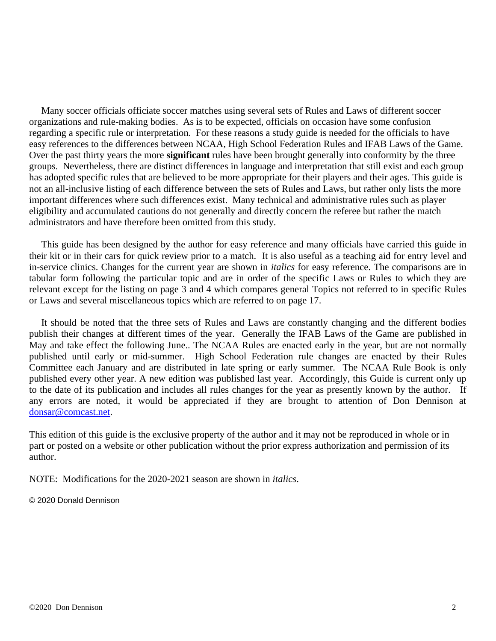Many soccer officials officiate soccer matches using several sets of Rules and Laws of different soccer organizations and rule-making bodies. As is to be expected, officials on occasion have some confusion regarding a specific rule or interpretation. For these reasons a study guide is needed for the officials to have easy references to the differences between NCAA, High School Federation Rules and IFAB Laws of the Game. Over the past thirty years the more **significant** rules have been brought generally into conformity by the three groups. Nevertheless, there are distinct differences in language and interpretation that still exist and each group has adopted specific rules that are believed to be more appropriate for their players and their ages. This guide is not an all-inclusive listing of each difference between the sets of Rules and Laws, but rather only lists the more important differences where such differences exist. Many technical and administrative rules such as player eligibility and accumulated cautions do not generally and directly concern the referee but rather the match administrators and have therefore been omitted from this study.

 This guide has been designed by the author for easy reference and many officials have carried this guide in their kit or in their cars for quick review prior to a match. It is also useful as a teaching aid for entry level and in-service clinics. Changes for the current year are shown in *italics* for easy reference. The comparisons are in tabular form following the particular topic and are in order of the specific Laws or Rules to which they are relevant except for the listing on page 3 and 4 which compares general Topics not referred to in specific Rules or Laws and several miscellaneous topics which are referred to on page 17.

 It should be noted that the three sets of Rules and Laws are constantly changing and the different bodies publish their changes at different times of the year. Generally the IFAB Laws of the Game are published in May and take effect the following June.. The NCAA Rules are enacted early in the year, but are not normally published until early or mid-summer. High School Federation rule changes are enacted by their Rules Committee each January and are distributed in late spring or early summer. The NCAA Rule Book is only published every other year. A new edition was published last year. Accordingly, this Guide is current only up to the date of its publication and includes all rules changes for the year as presently known by the author. If any errors are noted, it would be appreciated if they are brought to attention of Don Dennison at [donsar@comcast.net.](mailto:donsar@comcast.net)

This edition of this guide is the exclusive property of the author and it may not be reproduced in whole or in part or posted on a website or other publication without the prior express authorization and permission of its author.

NOTE: Modifications for the 2020-2021 season are shown in *italics*.

© 2020 Donald Dennison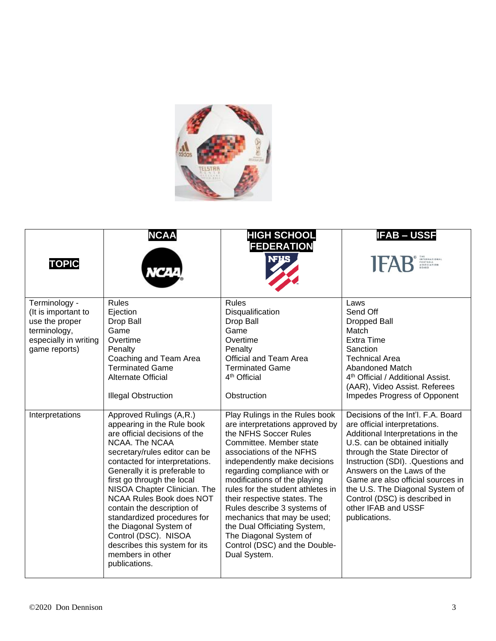

| <b>TOPIC</b>                                                                                                     | <b>NCAA</b>                                                                                                                                                                                                                                                                                                                                                                                                                                                                                        | <b>HIGH SCHOOL</b><br><b>FEDERATION</b><br><b>NFHS</b>                                                                                                                                                                                                                                                                                                                                                                                                                                          | <b>IFAB-USSF</b><br>THE<br>INTERNATIONAL<br>FOOTBALL<br>ASSOCIATION<br>BOARD                                                                                                                                                                                                                                                                                                                   |
|------------------------------------------------------------------------------------------------------------------|----------------------------------------------------------------------------------------------------------------------------------------------------------------------------------------------------------------------------------------------------------------------------------------------------------------------------------------------------------------------------------------------------------------------------------------------------------------------------------------------------|-------------------------------------------------------------------------------------------------------------------------------------------------------------------------------------------------------------------------------------------------------------------------------------------------------------------------------------------------------------------------------------------------------------------------------------------------------------------------------------------------|------------------------------------------------------------------------------------------------------------------------------------------------------------------------------------------------------------------------------------------------------------------------------------------------------------------------------------------------------------------------------------------------|
| Terminology -<br>(It is important to<br>use the proper<br>terminology,<br>especially in writing<br>game reports) | <b>Rules</b><br>Ejection<br>Drop Ball<br>Game<br>Overtime<br>Penalty<br>Coaching and Team Area<br><b>Terminated Game</b><br><b>Alternate Official</b><br><b>Illegal Obstruction</b>                                                                                                                                                                                                                                                                                                                | <b>Rules</b><br>Disqualification<br>Drop Ball<br>Game<br>Overtime<br>Penalty<br><b>Official and Team Area</b><br><b>Terminated Game</b><br>4 <sup>th</sup> Official<br>Obstruction                                                                                                                                                                                                                                                                                                              | Laws<br>Send Off<br><b>Dropped Ball</b><br>Match<br><b>Extra Time</b><br>Sanction<br><b>Technical Area</b><br>Abandoned Match<br>4 <sup>th</sup> Official / Additional Assist.<br>(AAR), Video Assist. Referees<br>Impedes Progress of Opponent                                                                                                                                                |
| Interpretations                                                                                                  | Approved Rulings (A,R.)<br>appearing in the Rule book<br>are official decisions of the<br>NCAA. The NCAA<br>secretary/rules editor can be<br>contacted for interpretations.<br>Generally it is preferable to<br>first go through the local<br>NISOA Chapter Clinician. The<br><b>NCAA Rules Book does NOT</b><br>contain the description of<br>standardized procedures for<br>the Diagonal System of<br>Control (DSC). NISOA<br>describes this system for its<br>members in other<br>publications. | Play Rulings in the Rules book<br>are interpretations approved by<br>the NFHS Soccer Rules<br>Committee. Member state<br>associations of the NFHS<br>independently make decisions<br>regarding compliance with or<br>modifications of the playing<br>rules for the student athletes in<br>their respective states. The<br>Rules describe 3 systems of<br>mechanics that may be used;<br>the Dual Officiating System,<br>The Diagonal System of<br>Control (DSC) and the Double-<br>Dual System. | Decisions of the Int'l, F.A. Board<br>are official interpretations.<br>Additional Interpretations in the<br>U.S. can be obtained initially<br>through the State Director of<br>Instruction (SDI). Questions and<br>Answers on the Laws of the<br>Game are also official sources in<br>the U.S. The Diagonal System of<br>Control (DSC) is described in<br>other IFAB and USSF<br>publications. |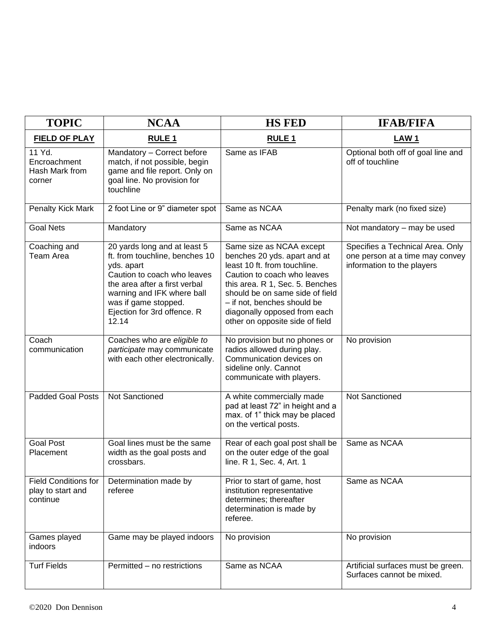| <b>TOPIC</b>                                          | <b>NCAA</b>                                                                                                                                                                                                                                | <b>HS FED</b>                                                                                                                                                                                                                                                                                   | <b>IFAB/FIFA</b>                                                                                  |
|-------------------------------------------------------|--------------------------------------------------------------------------------------------------------------------------------------------------------------------------------------------------------------------------------------------|-------------------------------------------------------------------------------------------------------------------------------------------------------------------------------------------------------------------------------------------------------------------------------------------------|---------------------------------------------------------------------------------------------------|
| <b>FIELD OF PLAY</b>                                  | <b>RULE1</b>                                                                                                                                                                                                                               | <b>RULE 1</b>                                                                                                                                                                                                                                                                                   | LAW <sub>1</sub>                                                                                  |
| 11 Yd.<br>Encroachment<br>Hash Mark from<br>corner    | Mandatory - Correct before<br>match, if not possible, begin<br>game and file report. Only on<br>goal line. No provision for<br>touchline                                                                                                   | Same as IFAB                                                                                                                                                                                                                                                                                    | Optional both off of goal line and<br>off of touchline                                            |
| Penalty Kick Mark                                     | 2 foot Line or 9" diameter spot                                                                                                                                                                                                            | Same as NCAA                                                                                                                                                                                                                                                                                    | Penalty mark (no fixed size)                                                                      |
| <b>Goal Nets</b>                                      | Mandatory                                                                                                                                                                                                                                  | Same as NCAA                                                                                                                                                                                                                                                                                    | Not mandatory - may be used                                                                       |
| Coaching and<br>Team Area                             | 20 yards long and at least 5<br>ft. from touchline, benches 10<br>yds. apart<br>Caution to coach who leaves<br>the area after a first verbal<br>warning and IFK where ball<br>was if game stopped.<br>Ejection for 3rd offence. R<br>12.14 | Same size as NCAA except<br>benches 20 yds. apart and at<br>least 10 ft. from touchline.<br>Caution to coach who leaves<br>this area. R 1, Sec. 5. Benches<br>should be on same side of field<br>- if not, benches should be<br>diagonally opposed from each<br>other on opposite side of field | Specifies a Technical Area. Only<br>one person at a time may convey<br>information to the players |
| Coach<br>communication                                | Coaches who are eligible to<br>participate may communicate<br>with each other electronically.                                                                                                                                              | No provision but no phones or<br>radios allowed during play.<br>Communication devices on<br>sideline only. Cannot<br>communicate with players.                                                                                                                                                  | No provision                                                                                      |
| <b>Padded Goal Posts</b>                              | Not Sanctioned                                                                                                                                                                                                                             | A white commercially made<br>pad at least 72" in height and a<br>max. of 1" thick may be placed<br>on the vertical posts.                                                                                                                                                                       | Not Sanctioned                                                                                    |
| <b>Goal Post</b><br>Placement                         | Goal lines must be the same<br>width as the goal posts and<br>crossbars.                                                                                                                                                                   | Rear of each goal post shall be<br>on the outer edge of the goal<br>line. R 1, Sec. 4, Art. 1                                                                                                                                                                                                   | Same as NCAA                                                                                      |
| Field Conditions for<br>play to start and<br>continue | Determination made by<br>referee                                                                                                                                                                                                           | Prior to start of game, host<br>institution representative<br>determines; thereafter<br>determination is made by<br>referee.                                                                                                                                                                    | Same as NCAA                                                                                      |
| Games played<br>indoors                               | Game may be played indoors                                                                                                                                                                                                                 | No provision                                                                                                                                                                                                                                                                                    | No provision                                                                                      |
| <b>Turf Fields</b>                                    | Permitted - no restrictions                                                                                                                                                                                                                | Same as NCAA                                                                                                                                                                                                                                                                                    | Artificial surfaces must be green.<br>Surfaces cannot be mixed.                                   |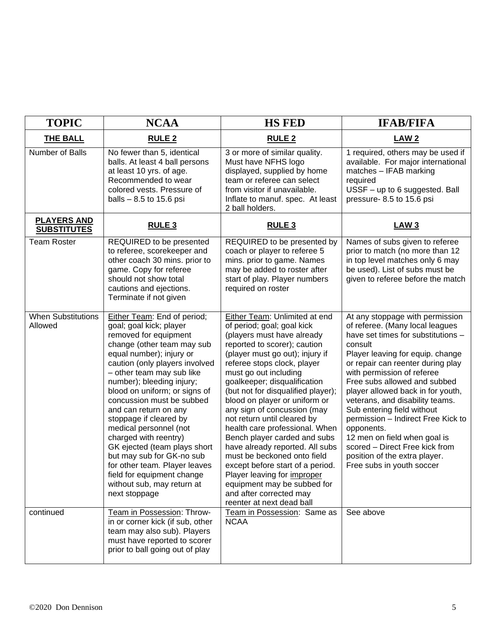| <b>TOPIC</b>                             | <b>NCAA</b>                                                                                                                                                                                                                                                                                                                                                                                                                                                                                                                                                                          | <b>HS FED</b>                                                                                                                                                                                                                                                                                                                                                                                                                                                                                                                                                                                                                                                                                  | <b>IFAB/FIFA</b>                                                                                                                                                                                                                                                                                                                                                                                                                                                                                                                                     |
|------------------------------------------|--------------------------------------------------------------------------------------------------------------------------------------------------------------------------------------------------------------------------------------------------------------------------------------------------------------------------------------------------------------------------------------------------------------------------------------------------------------------------------------------------------------------------------------------------------------------------------------|------------------------------------------------------------------------------------------------------------------------------------------------------------------------------------------------------------------------------------------------------------------------------------------------------------------------------------------------------------------------------------------------------------------------------------------------------------------------------------------------------------------------------------------------------------------------------------------------------------------------------------------------------------------------------------------------|------------------------------------------------------------------------------------------------------------------------------------------------------------------------------------------------------------------------------------------------------------------------------------------------------------------------------------------------------------------------------------------------------------------------------------------------------------------------------------------------------------------------------------------------------|
| THE BALL                                 | RULE <sub>2</sub>                                                                                                                                                                                                                                                                                                                                                                                                                                                                                                                                                                    | <b>RULE 2</b>                                                                                                                                                                                                                                                                                                                                                                                                                                                                                                                                                                                                                                                                                  | LAW <sub>2</sub>                                                                                                                                                                                                                                                                                                                                                                                                                                                                                                                                     |
| Number of Balls                          | No fewer than 5, identical<br>balls. At least 4 ball persons<br>at least 10 yrs. of age.<br>Recommended to wear<br>colored vests. Pressure of<br>balls $-8.5$ to 15.6 psi                                                                                                                                                                                                                                                                                                                                                                                                            | 3 or more of similar quality.<br>Must have NFHS logo<br>displayed, supplied by home<br>team or referee can select<br>from visitor if unavailable.<br>Inflate to manuf. spec. At least<br>2 ball holders.                                                                                                                                                                                                                                                                                                                                                                                                                                                                                       | 1 required, others may be used if<br>available. For major international<br>matches - IFAB marking<br>required<br>USSF - up to 6 suggested. Ball<br>pressure-8.5 to 15.6 psi                                                                                                                                                                                                                                                                                                                                                                          |
| <b>PLAYERS AND</b><br><b>SUBSTITUTES</b> | <b>RULE 3</b>                                                                                                                                                                                                                                                                                                                                                                                                                                                                                                                                                                        | <b>RULE 3</b>                                                                                                                                                                                                                                                                                                                                                                                                                                                                                                                                                                                                                                                                                  | <b>LAW3</b>                                                                                                                                                                                                                                                                                                                                                                                                                                                                                                                                          |
| <b>Team Roster</b>                       | REQUIRED to be presented<br>to referee, scorekeeper and<br>other coach 30 mins. prior to<br>game. Copy for referee<br>should not show total<br>cautions and ejections.<br>Terminate if not given                                                                                                                                                                                                                                                                                                                                                                                     | REQUIRED to be presented by<br>coach or player to referee 5<br>mins. prior to game. Names<br>may be added to roster after<br>start of play. Player numbers<br>required on roster                                                                                                                                                                                                                                                                                                                                                                                                                                                                                                               | Names of subs given to referee<br>prior to match (no more than 12<br>in top level matches only 6 may<br>be used). List of subs must be<br>given to referee before the match                                                                                                                                                                                                                                                                                                                                                                          |
| <b>When Substitutions</b><br>Allowed     | Either Team: End of period;<br>goal; goal kick; player<br>removed for equipment<br>change (other team may sub<br>equal number); injury or<br>caution (only players involved<br>- other team may sub like<br>number); bleeding injury;<br>blood on uniform; or signs of<br>concussion must be subbed<br>and can return on any<br>stoppage if cleared by<br>medical personnel (not<br>charged with reentry)<br>GK ejected (team plays short<br>but may sub for GK-no sub<br>for other team. Player leaves<br>field for equipment change<br>without sub, may return at<br>next stoppage | Either Team: Unlimited at end<br>of period; goal; goal kick<br>(players must have already<br>reported to scorer); caution<br>(player must go out); injury if<br>referee stops clock, player<br>must go out including<br>goalkeeper; disqualification<br>(but not for disqualified player);<br>blood on player or uniform or<br>any sign of concussion (may<br>not return until cleared by<br>health care professional. When<br>Bench player carded and subs<br>have already reported. All subs<br>must be beckoned onto field<br>except before start of a period.<br>Player leaving for <i>improper</i><br>equipment may be subbed for<br>and after corrected may<br>reenter at next dead ball | At any stoppage with permission<br>of referee. (Many local leagues<br>have set times for substitutions -<br>consult<br>Player leaving for equip. change<br>or repair can reenter during play<br>with permission of referee<br>Free subs allowed and subbed<br>player allowed back in for youth,<br>veterans, and disability teams.<br>Sub entering field without<br>permission - Indirect Free Kick to<br>opponents.<br>12 men on field when goal is<br>scored - Direct Free kick from<br>position of the extra player.<br>Free subs in youth soccer |
| continued                                | Team in Possession: Throw-<br>in or corner kick (if sub, other<br>team may also sub). Players<br>must have reported to scorer<br>prior to ball going out of play                                                                                                                                                                                                                                                                                                                                                                                                                     | Team in Possession: Same as<br><b>NCAA</b>                                                                                                                                                                                                                                                                                                                                                                                                                                                                                                                                                                                                                                                     | See above                                                                                                                                                                                                                                                                                                                                                                                                                                                                                                                                            |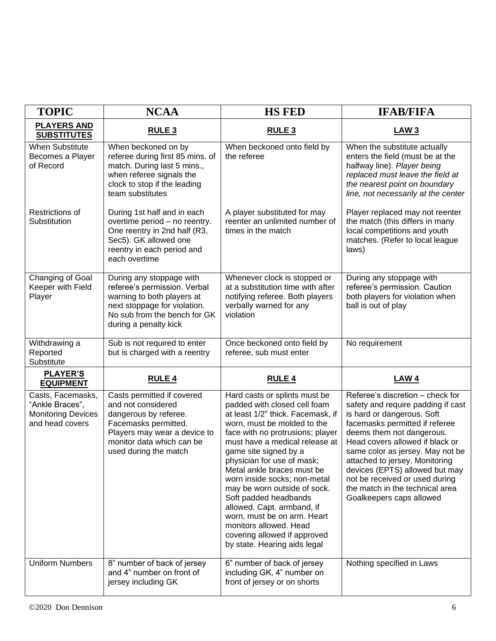| <b>TOPIC</b>                                                                         | <b>NCAA</b>                                                                                                                                                                             | <b>HS FED</b>                                                                                                                                                                                                                                                                                                                                                                                                                                                                                                                                | <b>IFAB/FIFA</b>                                                                                                                                                                                                                                                                                                                                                                                                |
|--------------------------------------------------------------------------------------|-----------------------------------------------------------------------------------------------------------------------------------------------------------------------------------------|----------------------------------------------------------------------------------------------------------------------------------------------------------------------------------------------------------------------------------------------------------------------------------------------------------------------------------------------------------------------------------------------------------------------------------------------------------------------------------------------------------------------------------------------|-----------------------------------------------------------------------------------------------------------------------------------------------------------------------------------------------------------------------------------------------------------------------------------------------------------------------------------------------------------------------------------------------------------------|
| <b>PLAYERS AND</b><br><b>SUBSTITUTES</b>                                             | RULE <sub>3</sub>                                                                                                                                                                       | RULE <sub>3</sub>                                                                                                                                                                                                                                                                                                                                                                                                                                                                                                                            | <b>LAW3</b>                                                                                                                                                                                                                                                                                                                                                                                                     |
| <b>When Substitute</b><br>Becomes a Player<br>of Record                              | When beckoned on by<br>referee during first 85 mins. of<br>match. During last 5 mins.,<br>when referee signals the<br>clock to stop if the leading<br>team substitutes                  | When beckoned onto field by<br>the referee                                                                                                                                                                                                                                                                                                                                                                                                                                                                                                   | When the substitute actually<br>enters the field (must be at the<br>halfway line). Player being<br>replaced must leave the field at<br>the nearest point on boundary<br>line, not necessarily at the center                                                                                                                                                                                                     |
| <b>Restrictions of</b><br>Substitution                                               | During 1st half and in each<br>overtime period - no reentry.<br>One reentry in 2nd half (R3,<br>Sec5). GK allowed one<br>reentry in each period and<br>each overtime                    | A player substituted for may<br>reenter an unlimited number of<br>times in the match                                                                                                                                                                                                                                                                                                                                                                                                                                                         | Player replaced may not reenter<br>the match (this differs in many<br>local competitions and youth<br>matches. (Refer to local league<br>laws)                                                                                                                                                                                                                                                                  |
| Changing of Goal<br>Keeper with Field<br>Player                                      | During any stoppage with<br>referee's permission. Verbal<br>warning to both players at<br>next stoppage for violation.<br>No sub from the bench for GK<br>during a penalty kick         | Whenever clock is stopped or<br>at a substitution time with after<br>notifying referee. Both players<br>verbally warned for any<br>violation                                                                                                                                                                                                                                                                                                                                                                                                 | During any stoppage with<br>referee's permission. Caution<br>both players for violation when<br>ball is out of play                                                                                                                                                                                                                                                                                             |
| Withdrawing a<br>Reported<br>Substitute                                              | Sub is not required to enter<br>but is charged with a reentry                                                                                                                           | Once beckoned onto field by<br>referee, sub must enter                                                                                                                                                                                                                                                                                                                                                                                                                                                                                       | No requirement                                                                                                                                                                                                                                                                                                                                                                                                  |
| <b>PLAYER'S</b><br><b>EQUIPMENT</b>                                                  | <b>RULE 4</b>                                                                                                                                                                           | <b>RULE 4</b>                                                                                                                                                                                                                                                                                                                                                                                                                                                                                                                                | <b>LAW 4</b>                                                                                                                                                                                                                                                                                                                                                                                                    |
| Casts, Facemasks,<br>"Ankle Braces",<br><b>Monitoring Devices</b><br>and head covers | Casts permitted if covered<br>and not considered<br>dangerous by referee.<br>Facemasks permitted.<br>Players may wear a device to<br>monitor data which can be<br>used during the match | Hard casts or splints must be<br>padded with closed cell foam<br>at least 1/2" thick. Facemask, if<br>worn, must be molded to the<br>face with no protrusions; player<br>must have a medical release at<br>game site signed by a<br>physician for use of mask;<br>Metal ankle braces must be<br>worn inside socks; non-metal<br>may be worn outside of sock.<br>Soft padded headbands<br>allowed. Capt. armband, if<br>worn, must be on arm. Heart<br>monitors allowed. Head<br>covering allowed if approved<br>by state. Hearing aids legal | Referee's discretion - check for<br>safety and require padding if cast<br>is hard or dangerous. Soft<br>facemasks permitted if referee<br>deems them not dangerous.<br>Head covers allowed if black or<br>same color as jersey. May not be<br>attached to jersey. Monitoring<br>devices (EPTS) allowed but may<br>not be received or used during<br>the match in the technical area<br>Goalkeepers caps allowed |
| <b>Uniform Numbers</b>                                                               | 8" number of back of jersey<br>and 4" number on front of<br>jersey including GK                                                                                                         | 6" number of back of jersey<br>including GK, 4" number on<br>front of jersey or on shorts                                                                                                                                                                                                                                                                                                                                                                                                                                                    | Nothing specified in Laws                                                                                                                                                                                                                                                                                                                                                                                       |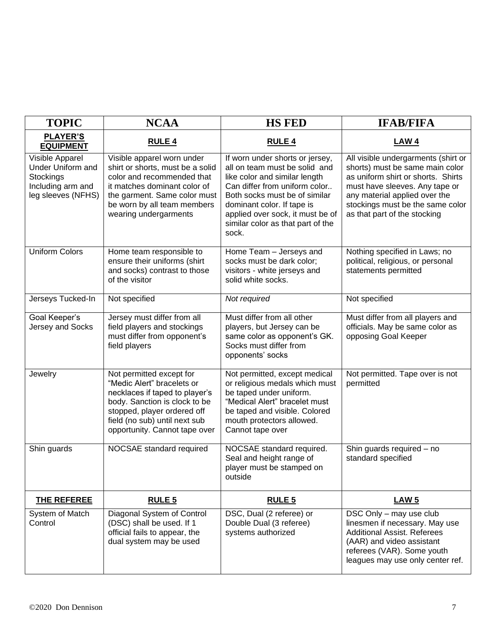| <b>TOPIC</b>                                                                                 | <b>NCAA</b>                                                                                                                                                                                                                | <b>HS FED</b>                                                                                                                                                                                                                                                                       | <b>IFAB/FIFA</b>                                                                                                                                                                                                                                    |
|----------------------------------------------------------------------------------------------|----------------------------------------------------------------------------------------------------------------------------------------------------------------------------------------------------------------------------|-------------------------------------------------------------------------------------------------------------------------------------------------------------------------------------------------------------------------------------------------------------------------------------|-----------------------------------------------------------------------------------------------------------------------------------------------------------------------------------------------------------------------------------------------------|
| <b>PLAYER'S</b><br><b>EQUIPMENT</b>                                                          | <b>RULE 4</b>                                                                                                                                                                                                              | <b>RULE 4</b>                                                                                                                                                                                                                                                                       | <b>LAW4</b>                                                                                                                                                                                                                                         |
| Visible Apparel<br>Under Uniform and<br>Stockings<br>Including arm and<br>leg sleeves (NFHS) | Visible apparel worn under<br>shirt or shorts, must be a solid<br>color and recommended that<br>it matches dominant color of<br>the garment. Same color must<br>be worn by all team members<br>wearing undergarments       | If worn under shorts or jersey,<br>all on team must be solid and<br>like color and similar length<br>Can differ from uniform color<br>Both socks must be of similar<br>dominant color. If tape is<br>applied over sock, it must be of<br>similar color as that part of the<br>sock. | All visible undergarments (shirt or<br>shorts) must be same main color<br>as uniform shirt or shorts. Shirts<br>must have sleeves. Any tape or<br>any material applied over the<br>stockings must be the same color<br>as that part of the stocking |
| <b>Uniform Colors</b>                                                                        | Home team responsible to<br>ensure their uniforms (shirt<br>and socks) contrast to those<br>of the visitor                                                                                                                 | Home Team - Jerseys and<br>socks must be dark color;<br>visitors - white jerseys and<br>solid white socks.                                                                                                                                                                          | Nothing specified in Laws; no<br>political, religious, or personal<br>statements permitted                                                                                                                                                          |
| Jerseys Tucked-In                                                                            | Not specified                                                                                                                                                                                                              | Not required                                                                                                                                                                                                                                                                        | Not specified                                                                                                                                                                                                                                       |
| Goal Keeper's<br>Jersey and Socks                                                            | Jersey must differ from all<br>field players and stockings<br>must differ from opponent's<br>field players                                                                                                                 | Must differ from all other<br>players, but Jersey can be<br>same color as opponent's GK.<br>Socks must differ from<br>opponents' socks                                                                                                                                              | Must differ from all players and<br>officials. May be same color as<br>opposing Goal Keeper                                                                                                                                                         |
| Jewelry                                                                                      | Not permitted except for<br>"Medic Alert" bracelets or<br>necklaces if taped to player's<br>body. Sanction is clock to be<br>stopped, player ordered off<br>field (no sub) until next sub<br>opportunity. Cannot tape over | Not permitted, except medical<br>or religious medals which must<br>be taped under uniform.<br>"Medical Alert" bracelet must<br>be taped and visible. Colored<br>mouth protectors allowed.<br>Cannot tape over                                                                       | Not permitted. Tape over is not<br>permitted                                                                                                                                                                                                        |
| Shin guards                                                                                  | NOCSAE standard required                                                                                                                                                                                                   | NOCSAE standard required.<br>Seal and height range of<br>player must be stamped on<br>outside                                                                                                                                                                                       | Shin guards required - no<br>standard specified                                                                                                                                                                                                     |
| THE REFEREE                                                                                  | <b>RULE 5</b>                                                                                                                                                                                                              | <b>RULE 5</b>                                                                                                                                                                                                                                                                       | <b>LAW 5</b>                                                                                                                                                                                                                                        |
| System of Match<br>Control                                                                   | Diagonal System of Control<br>(DSC) shall be used. If 1<br>official fails to appear, the<br>dual system may be used                                                                                                        | DSC, Dual (2 referee) or<br>Double Dual (3 referee)<br>systems authorized                                                                                                                                                                                                           | DSC Only - may use club<br>linesmen if necessary. May use<br><b>Additional Assist. Referees</b><br>(AAR) and video assistant<br>referees (VAR). Some youth<br>leagues may use only center ref.                                                      |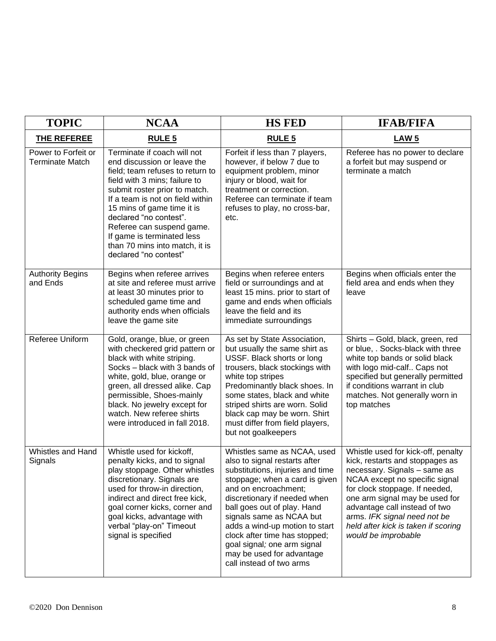| <b>TOPIC</b>                                  | <b>NCAA</b>                                                                                                                                                                                                                                                                                                                                                                        | <b>HS FED</b>                                                                                                                                                                                                                                                                                                                                                                                                    | <b>IFAB/FIFA</b>                                                                                                                                                                                                                                                                                                                           |
|-----------------------------------------------|------------------------------------------------------------------------------------------------------------------------------------------------------------------------------------------------------------------------------------------------------------------------------------------------------------------------------------------------------------------------------------|------------------------------------------------------------------------------------------------------------------------------------------------------------------------------------------------------------------------------------------------------------------------------------------------------------------------------------------------------------------------------------------------------------------|--------------------------------------------------------------------------------------------------------------------------------------------------------------------------------------------------------------------------------------------------------------------------------------------------------------------------------------------|
| THE REFEREE                                   | <b>RULE 5</b>                                                                                                                                                                                                                                                                                                                                                                      | <b>RULE 5</b>                                                                                                                                                                                                                                                                                                                                                                                                    | LAW <sub>5</sub>                                                                                                                                                                                                                                                                                                                           |
| Power to Forfeit or<br><b>Terminate Match</b> | Terminate if coach will not<br>end discussion or leave the<br>field; team refuses to return to<br>field with 3 mins; failure to<br>submit roster prior to match.<br>If a team is not on field within<br>15 mins of game time it is<br>declared "no contest".<br>Referee can suspend game.<br>If game is terminated less<br>than 70 mins into match, it is<br>declared "no contest" | Forfeit if less than 7 players,<br>however, if below 7 due to<br>equipment problem, minor<br>injury or blood, wait for<br>treatment or correction.<br>Referee can terminate if team<br>refuses to play, no cross-bar,<br>etc.                                                                                                                                                                                    | Referee has no power to declare<br>a forfeit but may suspend or<br>terminate a match                                                                                                                                                                                                                                                       |
| <b>Authority Begins</b><br>and Ends           | Begins when referee arrives<br>at site and referee must arrive<br>at least 30 minutes prior to<br>scheduled game time and<br>authority ends when officials<br>leave the game site                                                                                                                                                                                                  | Begins when referee enters<br>field or surroundings and at<br>least 15 mins. prior to start of<br>game and ends when officials<br>leave the field and its<br>immediate surroundings                                                                                                                                                                                                                              | Begins when officials enter the<br>field area and ends when they<br>leave                                                                                                                                                                                                                                                                  |
| Referee Uniform                               | Gold, orange, blue, or green<br>with checkered grid pattern or<br>black with white striping.<br>Socks - black with 3 bands of<br>white, gold, blue, orange or<br>green, all dressed alike. Cap<br>permissible, Shoes-mainly<br>black. No jewelry except for<br>watch. New referee shirts<br>were introduced in fall 2018.                                                          | As set by State Association,<br>but usually the same shirt as<br>USSF. Black shorts or long<br>trousers, black stockings with<br>white top stripes<br>Predominantly black shoes. In<br>some states, black and white<br>striped shirts are worn. Solid<br>black cap may be worn. Shirt<br>must differ from field players,<br>but not goalkeepers                                                                  | Shirts - Gold, black, green, red<br>or blue, . Socks-black with three<br>white top bands or solid black<br>with logo mid-calf Caps not<br>specified but generally permitted<br>if conditions warrant in club<br>matches. Not generally worn in<br>top matches                                                                              |
| Whistles and Hand<br>Signals                  | Whistle used for kickoff,<br>penalty kicks, and to signal<br>play stoppage. Other whistles<br>discretionary. Signals are<br>used for throw-in direction,<br>indirect and direct free kick,<br>goal corner kicks, corner and<br>goal kicks, advantage with<br>verbal "play-on" Timeout<br>signal is specified                                                                       | Whistles same as NCAA, used<br>also to signal restarts after<br>substitutions, injuries and time<br>stoppage; when a card is given<br>and on encroachment;<br>discretionary if needed when<br>ball goes out of play. Hand<br>signals same as NCAA but<br>adds a wind-up motion to start<br>clock after time has stopped;<br>goal signal; one arm signal<br>may be used for advantage<br>call instead of two arms | Whistle used for kick-off, penalty<br>kick, restarts and stoppages as<br>necessary. Signals - same as<br>NCAA except no specific signal<br>for clock stoppage. If needed,<br>one arm signal may be used for<br>advantage call instead of two<br>arms. IFK signal need not be<br>held after kick is taken if scoring<br>would be improbable |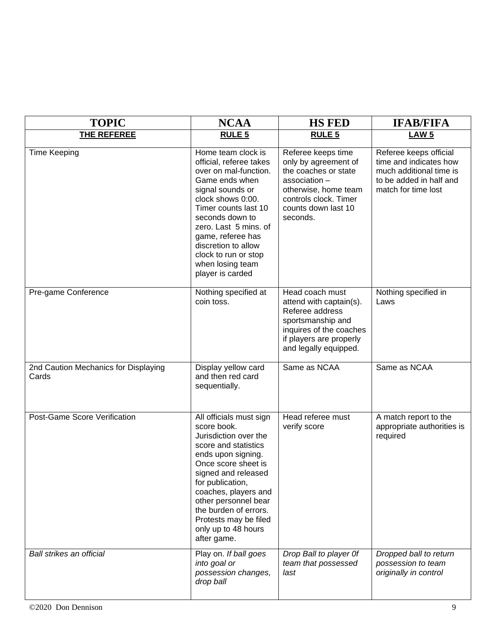| <b>TOPIC</b>                                  | <b>NCAA</b>                                                                                                                                                                                                                                                                                                             | <b>HS FED</b>                                                                                                                                                          | <b>IFAB/FIFA</b>                                                                                                              |
|-----------------------------------------------|-------------------------------------------------------------------------------------------------------------------------------------------------------------------------------------------------------------------------------------------------------------------------------------------------------------------------|------------------------------------------------------------------------------------------------------------------------------------------------------------------------|-------------------------------------------------------------------------------------------------------------------------------|
| <b>THE REFEREE</b>                            | <b>RULE 5</b>                                                                                                                                                                                                                                                                                                           | <b>RULE 5</b>                                                                                                                                                          | <b>LAW 5</b>                                                                                                                  |
| <b>Time Keeping</b>                           | Home team clock is<br>official, referee takes<br>over on mal-function.<br>Game ends when<br>signal sounds or<br>clock shows 0:00.<br>Timer counts last 10<br>seconds down to<br>zero. Last 5 mins. of<br>game, referee has<br>discretion to allow<br>clock to run or stop<br>when losing team<br>player is carded       | Referee keeps time<br>only by agreement of<br>the coaches or state<br>association-<br>otherwise, home team<br>controls clock. Timer<br>counts down last 10<br>seconds. | Referee keeps official<br>time and indicates how<br>much additional time is<br>to be added in half and<br>match for time lost |
| Pre-game Conference                           | Nothing specified at<br>coin toss.                                                                                                                                                                                                                                                                                      | Head coach must<br>attend with captain(s).<br>Referee address<br>sportsmanship and<br>inquires of the coaches<br>if players are properly<br>and legally equipped.      | Nothing specified in<br>Laws                                                                                                  |
| 2nd Caution Mechanics for Displaying<br>Cards | Display yellow card<br>and then red card<br>sequentially.                                                                                                                                                                                                                                                               | Same as NCAA                                                                                                                                                           | Same as NCAA                                                                                                                  |
| Post-Game Score Verification                  | All officials must sign<br>score book.<br>Jurisdiction over the<br>score and statistics<br>ends upon signing.<br>Once score sheet is<br>signed and released<br>for publication,<br>coaches, players and<br>other personnel bear<br>the burden of errors.<br>Protests may be filed<br>only up to 48 hours<br>after game. | Head referee must<br>verify score                                                                                                                                      | A match report to the<br>appropriate authorities is<br>required                                                               |
| Ball strikes an official                      | Play on. If ball goes<br>into goal or<br>possession changes,<br>drop ball                                                                                                                                                                                                                                               | Drop Ball to player Of<br>team that possessed<br>last                                                                                                                  | Dropped ball to return<br>possession to team<br>originally in control                                                         |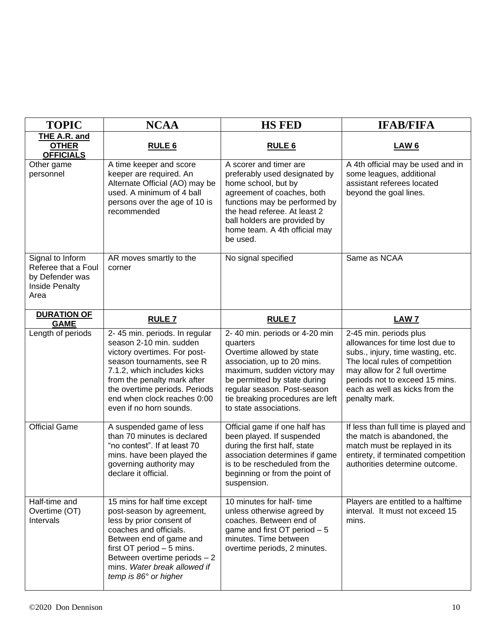| <b>TOPIC</b>                                                                         | <b>NCAA</b>                                                                                                                                                                                                                                                                    | <b>HS FED</b>                                                                                                                                                                                                                                                     | <b>IFAB/FIFA</b>                                                                                                                                                                                                                                       |
|--------------------------------------------------------------------------------------|--------------------------------------------------------------------------------------------------------------------------------------------------------------------------------------------------------------------------------------------------------------------------------|-------------------------------------------------------------------------------------------------------------------------------------------------------------------------------------------------------------------------------------------------------------------|--------------------------------------------------------------------------------------------------------------------------------------------------------------------------------------------------------------------------------------------------------|
| <b>THE A.R. and</b><br><b>OTHER</b><br><b>OFFICIALS</b>                              | <b>RULE 6</b>                                                                                                                                                                                                                                                                  | <b>RULE 6</b>                                                                                                                                                                                                                                                     | <b>LAW 6</b>                                                                                                                                                                                                                                           |
| Other game<br>personnel                                                              | A time keeper and score<br>keeper are required. An<br>Alternate Official (AO) may be<br>used. A minimum of 4 ball<br>persons over the age of 10 is<br>recommended                                                                                                              | A scorer and timer are<br>preferably used designated by<br>home school, but by<br>agreement of coaches, both<br>functions may be performed by<br>the head referee. At least 2<br>ball holders are provided by<br>home team. A 4th official may<br>be used.        | A 4th official may be used and in<br>some leagues, additional<br>assistant referees located<br>beyond the goal lines.                                                                                                                                  |
| Signal to Inform<br>Referee that a Foul<br>by Defender was<br>Inside Penalty<br>Area | AR moves smartly to the<br>corner                                                                                                                                                                                                                                              | No signal specified                                                                                                                                                                                                                                               | Same as NCAA                                                                                                                                                                                                                                           |
| <b>DURATION OF</b><br><b>GAME</b>                                                    | <b>RULE 7</b>                                                                                                                                                                                                                                                                  | <b>RULE 7</b>                                                                                                                                                                                                                                                     | <b>LAW 7</b>                                                                                                                                                                                                                                           |
| Length of periods                                                                    | 2-45 min. periods. In regular<br>season 2-10 min. sudden<br>victory overtimes. For post-<br>season tournaments, see R<br>7.1.2, which includes kicks<br>from the penalty mark after<br>the overtime periods. Periods<br>end when clock reaches 0:00<br>even if no horn sounds. | 2-40 min. periods or 4-20 min<br>quarters<br>Overtime allowed by state<br>association, up to 20 mins.<br>maximum, sudden victory may<br>be permitted by state during<br>regular season. Post-season<br>tie breaking procedures are left<br>to state associations. | 2-45 min. periods plus<br>allowances for time lost due to<br>subs., injury, time wasting, etc.<br>The local rules of competition<br>may allow for 2 full overtime<br>periods not to exceed 15 mins.<br>each as well as kicks from the<br>penalty mark. |
| <b>Official Game</b>                                                                 | A suspended game of less<br>than 70 minutes is declared<br>"no contest". If at least 70<br>mins. have been played the<br>governing authority may<br>declare it official.                                                                                                       | Official game if one half has<br>been played. If suspended<br>during the first half, state<br>association determines if game<br>is to be rescheduled from the<br>beginning or from the point of<br>suspension.                                                    | If less than full time is played and<br>the match is abandoned, the<br>match must be replayed in its<br>entirety, if terminated competition<br>authorities determine outcome.                                                                          |
| Half-time and<br>Overtime (OT)<br>Intervals                                          | 15 mins for half time except<br>post-season by agreement,<br>less by prior consent of<br>coaches and officials.<br>Between end of game and<br>first OT period - 5 mins.<br>Between overtime periods - 2<br>mins. Water break allowed if<br>temp is 86° or higher               | 10 minutes for half- time<br>unless otherwise agreed by<br>coaches. Between end of<br>game and first OT period - 5<br>minutes. Time between<br>overtime periods, 2 minutes.                                                                                       | Players are entitled to a halftime<br>interval. It must not exceed 15<br>mins.                                                                                                                                                                         |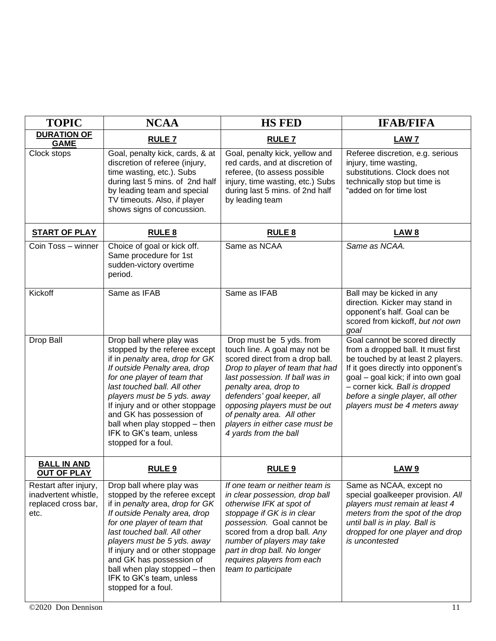| <b>TOPIC</b>                                                                 | <b>NCAA</b>                                                                                                                                                                                                                                                                                                                                                                    | <b>HS FED</b>                                                                                                                                                                                                                                                                                                                                       | <b>IFAB/FIFA</b>                                                                                                                                                                                                                                                                               |
|------------------------------------------------------------------------------|--------------------------------------------------------------------------------------------------------------------------------------------------------------------------------------------------------------------------------------------------------------------------------------------------------------------------------------------------------------------------------|-----------------------------------------------------------------------------------------------------------------------------------------------------------------------------------------------------------------------------------------------------------------------------------------------------------------------------------------------------|------------------------------------------------------------------------------------------------------------------------------------------------------------------------------------------------------------------------------------------------------------------------------------------------|
| <b>DURATION OF</b><br><b>GAME</b>                                            | <b>RULE 7</b>                                                                                                                                                                                                                                                                                                                                                                  | <b>RULE 7</b>                                                                                                                                                                                                                                                                                                                                       | <b>LAW 7</b>                                                                                                                                                                                                                                                                                   |
| Clock stops                                                                  | Goal, penalty kick, cards, & at<br>discretion of referee (injury,<br>time wasting, etc.). Subs<br>during last 5 mins. of 2nd half<br>by leading team and special<br>TV timeouts. Also, if player<br>shows signs of concussion.                                                                                                                                                 | Goal, penalty kick, yellow and<br>red cards, and at discretion of<br>referee, (to assess possible<br>injury, time wasting, etc.) Subs<br>during last 5 mins. of 2nd half<br>by leading team                                                                                                                                                         | Referee discretion, e.g. serious<br>injury, time wasting,<br>substitutions. Clock does not<br>technically stop but time is<br>"added on for time lost                                                                                                                                          |
| <b>START OF PLAY</b>                                                         | <b>RULE 8</b>                                                                                                                                                                                                                                                                                                                                                                  | <b>RULE 8</b>                                                                                                                                                                                                                                                                                                                                       | <b>LAW 8</b>                                                                                                                                                                                                                                                                                   |
| Coin Toss - winner                                                           | Choice of goal or kick off.<br>Same procedure for 1st<br>sudden-victory overtime<br>period.                                                                                                                                                                                                                                                                                    | Same as NCAA                                                                                                                                                                                                                                                                                                                                        | Same as NCAA.                                                                                                                                                                                                                                                                                  |
| Kickoff                                                                      | Same as IFAB                                                                                                                                                                                                                                                                                                                                                                   | Same as IFAB                                                                                                                                                                                                                                                                                                                                        | Ball may be kicked in any<br>direction. Kicker may stand in<br>opponent's half. Goal can be<br>scored from kickoff, but not own<br>goal                                                                                                                                                        |
| Drop Ball                                                                    | Drop ball where play was<br>stopped by the referee except<br>if in penalty area, drop for GK<br>If outside Penalty area, drop<br>for one player of team that<br>last touched ball. All other<br>players must be 5 yds. away<br>If injury and or other stoppage<br>and GK has possession of<br>ball when play stopped - then<br>IFK to GK's team, unless<br>stopped for a foul. | Drop must be 5 yds. from<br>touch line. A goal may not be<br>scored direct from a drop ball.<br>Drop to player of team that had<br>last possession. If ball was in<br>penalty area, drop to<br>defenders' goal keeper, all<br>opposing players must be out<br>of penalty area. All other<br>players in either case must be<br>4 yards from the ball | Goal cannot be scored directly<br>from a dropped ball. It must first<br>be touched by at least 2 players.<br>If it goes directly into opponent's<br>goal - goal kick; if into own goal<br>- corner kick. Ball is dropped<br>before a single player, all other<br>players must be 4 meters away |
| <b>BALL IN AND</b><br><b>OUT OF PLAY</b>                                     | RULE <sub>9</sub>                                                                                                                                                                                                                                                                                                                                                              | RULE <sub>9</sub>                                                                                                                                                                                                                                                                                                                                   | <b>LAW9</b>                                                                                                                                                                                                                                                                                    |
| Restart after injury,<br>inadvertent whistle,<br>replaced cross bar,<br>etc. | Drop ball where play was<br>stopped by the referee except<br>if in penalty area, drop for GK<br>If outside Penalty area, drop<br>for one player of team that<br>last touched ball. All other<br>players must be 5 yds. away<br>If injury and or other stoppage<br>and GK has possession of<br>ball when play stopped - then<br>IFK to GK's team, unless<br>stopped for a foul. | If one team or neither team is<br>in clear possession, drop ball<br>otherwise IFK at spot of<br>stoppage if GK is in clear<br>possession. Goal cannot be<br>scored from a drop ball. Any<br>number of players may take<br>part in drop ball. No longer<br>requires players from each<br>team to participate                                         | Same as NCAA, except no<br>special goalkeeper provision. All<br>players must remain at least 4<br>meters from the spot of the drop<br>until ball is in play. Ball is<br>dropped for one player and drop<br>is uncontested                                                                      |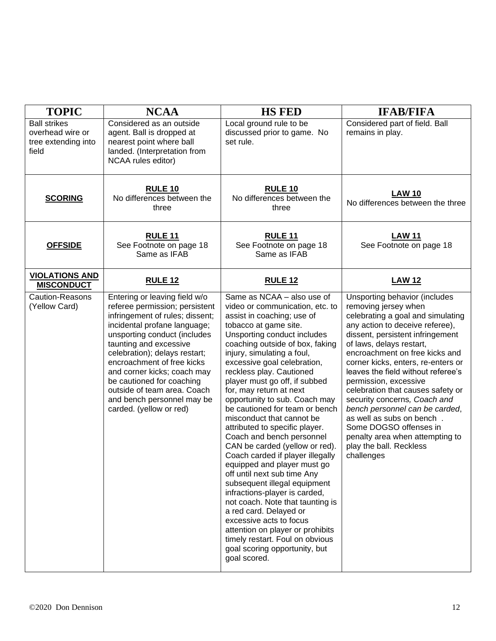| <b>TOPIC</b>                                                            | <b>NCAA</b>                                                                                                                                                                                                                                                                                                                                                                                                     | <b>HS FED</b>                                                                                                                                                                                                                                                                                                                                                                                                                                                                                                                                                                                                                                                                                                                                                                                                                                                                                                                    | <b>IFAB/FIFA</b>                                                                                                                                                                                                                                                                                                                                                                                                                                                                                                                                                               |
|-------------------------------------------------------------------------|-----------------------------------------------------------------------------------------------------------------------------------------------------------------------------------------------------------------------------------------------------------------------------------------------------------------------------------------------------------------------------------------------------------------|----------------------------------------------------------------------------------------------------------------------------------------------------------------------------------------------------------------------------------------------------------------------------------------------------------------------------------------------------------------------------------------------------------------------------------------------------------------------------------------------------------------------------------------------------------------------------------------------------------------------------------------------------------------------------------------------------------------------------------------------------------------------------------------------------------------------------------------------------------------------------------------------------------------------------------|--------------------------------------------------------------------------------------------------------------------------------------------------------------------------------------------------------------------------------------------------------------------------------------------------------------------------------------------------------------------------------------------------------------------------------------------------------------------------------------------------------------------------------------------------------------------------------|
| <b>Ball strikes</b><br>overhead wire or<br>tree extending into<br>field | Considered as an outside<br>agent. Ball is dropped at<br>nearest point where ball<br>landed. (Interpretation from<br>NCAA rules editor)                                                                                                                                                                                                                                                                         | Local ground rule to be<br>discussed prior to game. No<br>set rule.                                                                                                                                                                                                                                                                                                                                                                                                                                                                                                                                                                                                                                                                                                                                                                                                                                                              | Considered part of field. Ball<br>remains in play.                                                                                                                                                                                                                                                                                                                                                                                                                                                                                                                             |
| <b>SCORING</b>                                                          | <b>RULE 10</b><br>No differences between the<br>three                                                                                                                                                                                                                                                                                                                                                           | <b>RULE 10</b><br>No differences between the<br>three                                                                                                                                                                                                                                                                                                                                                                                                                                                                                                                                                                                                                                                                                                                                                                                                                                                                            | <b>LAW 10</b><br>No differences between the three                                                                                                                                                                                                                                                                                                                                                                                                                                                                                                                              |
| <b>OFFSIDE</b>                                                          | <b>RULE 11</b><br>See Footnote on page 18<br>Same as IFAB                                                                                                                                                                                                                                                                                                                                                       | <b>RULE 11</b><br>See Footnote on page 18<br>Same as IFAB                                                                                                                                                                                                                                                                                                                                                                                                                                                                                                                                                                                                                                                                                                                                                                                                                                                                        | <b>LAW 11</b><br>See Footnote on page 18                                                                                                                                                                                                                                                                                                                                                                                                                                                                                                                                       |
| <b>VIOLATIONS AND</b><br><b>MISCONDUCT</b>                              | <b>RULE 12</b>                                                                                                                                                                                                                                                                                                                                                                                                  | <b>RULE 12</b>                                                                                                                                                                                                                                                                                                                                                                                                                                                                                                                                                                                                                                                                                                                                                                                                                                                                                                                   | <b>LAW 12</b>                                                                                                                                                                                                                                                                                                                                                                                                                                                                                                                                                                  |
| <b>Caution-Reasons</b><br>(Yellow Card)                                 | Entering or leaving field w/o<br>referee permission; persistent<br>infringement of rules; dissent;<br>incidental profane language;<br>unsporting conduct (includes<br>taunting and excessive<br>celebration); delays restart;<br>encroachment of free kicks<br>and corner kicks; coach may<br>be cautioned for coaching<br>outside of team area. Coach<br>and bench personnel may be<br>carded. (yellow or red) | Same as NCAA - also use of<br>video or communication, etc. to<br>assist in coaching; use of<br>tobacco at game site.<br>Unsporting conduct includes<br>coaching outside of box, faking<br>injury, simulating a foul,<br>excessive goal celebration,<br>reckless play. Cautioned<br>player must go off, if subbed<br>for, may return at next<br>opportunity to sub. Coach may<br>be cautioned for team or bench<br>misconduct that cannot be<br>attributed to specific player.<br>Coach and bench personnel<br>CAN be carded (yellow or red).<br>Coach carded if player illegally<br>equipped and player must go<br>off until next sub time Any<br>subsequent illegal equipment<br>infractions-player is carded,<br>not coach. Note that taunting is<br>a red card. Delayed or<br>excessive acts to focus<br>attention on player or prohibits<br>timely restart. Foul on obvious<br>goal scoring opportunity, but<br>goal scored. | Unsporting behavior (includes<br>removing jersey when<br>celebrating a goal and simulating<br>any action to deceive referee),<br>dissent, persistent infringement<br>of laws, delays restart,<br>encroachment on free kicks and<br>corner kicks, enters, re-enters or<br>leaves the field without referee's<br>permission, excessive<br>celebration that causes safety or<br>security concerns, Coach and<br>bench personnel can be carded,<br>as well as subs on bench.<br>Some DOGSO offenses in<br>penalty area when attempting to<br>play the ball. Reckless<br>challenges |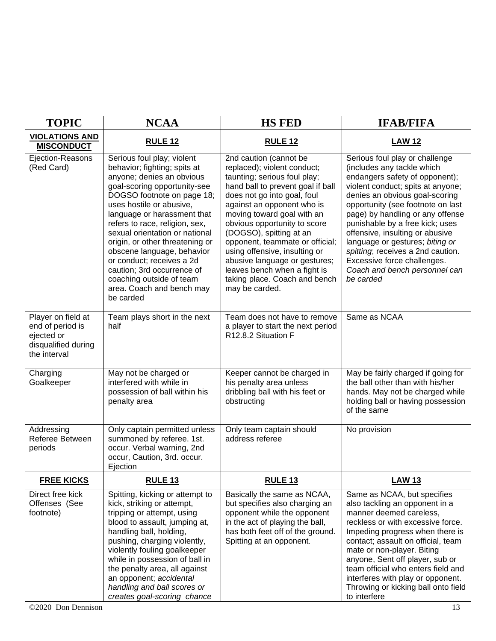| <b>TOPIC</b>                                                                                | <b>NCAA</b>                                                                                                                                                                                                                                                                                                                                                                                                                                                                            | <b>HS FED</b>                                                                                                                                                                                                                                                                                                                                                                                                                                                            | <b>IFAB/FIFA</b>                                                                                                                                                                                                                                                                                                                                                                                                                                                          |
|---------------------------------------------------------------------------------------------|----------------------------------------------------------------------------------------------------------------------------------------------------------------------------------------------------------------------------------------------------------------------------------------------------------------------------------------------------------------------------------------------------------------------------------------------------------------------------------------|--------------------------------------------------------------------------------------------------------------------------------------------------------------------------------------------------------------------------------------------------------------------------------------------------------------------------------------------------------------------------------------------------------------------------------------------------------------------------|---------------------------------------------------------------------------------------------------------------------------------------------------------------------------------------------------------------------------------------------------------------------------------------------------------------------------------------------------------------------------------------------------------------------------------------------------------------------------|
| <b>VIOLATIONS AND</b><br><b>MISCONDUCT</b>                                                  | <b>RULE 12</b>                                                                                                                                                                                                                                                                                                                                                                                                                                                                         | <b>RULE 12</b>                                                                                                                                                                                                                                                                                                                                                                                                                                                           | <b>LAW 12</b>                                                                                                                                                                                                                                                                                                                                                                                                                                                             |
| Ejection-Reasons<br>(Red Card)                                                              | Serious foul play; violent<br>behavior; fighting; spits at<br>anyone; denies an obvious<br>goal-scoring opportunity-see<br>DOGSO footnote on page 18;<br>uses hostile or abusive,<br>language or harassment that<br>refers to race, religion, sex,<br>sexual orientation or national<br>origin, or other threatening or<br>obscene language, behavior<br>or conduct; receives a 2d<br>caution; 3rd occurrence of<br>coaching outside of team<br>area. Coach and bench may<br>be carded | 2nd caution (cannot be<br>replaced); violent conduct;<br>taunting; serious foul play;<br>hand ball to prevent goal if ball<br>does not go into goal, foul<br>against an opponent who is<br>moving toward goal with an<br>obvious opportunity to score<br>(DOGSO), spitting at an<br>opponent, teammate or official;<br>using offensive, insulting or<br>abusive language or gestures;<br>leaves bench when a fight is<br>taking place. Coach and bench<br>may be carded. | Serious foul play or challenge<br>(includes any tackle which<br>endangers safety of opponent);<br>violent conduct; spits at anyone;<br>denies an obvious goal-scoring<br>opportunity (see footnote on last<br>page) by handling or any offense<br>punishable by a free kick; uses<br>offensive, insulting or abusive<br>language or gestures; biting or<br>spitting; receives a 2nd caution.<br>Excessive force challenges.<br>Coach and bench personnel can<br>be carded |
| Player on field at<br>end of period is<br>ejected or<br>disqualified during<br>the interval | Team plays short in the next<br>half                                                                                                                                                                                                                                                                                                                                                                                                                                                   | Team does not have to remove<br>a player to start the next period<br>R12.8.2 Situation F                                                                                                                                                                                                                                                                                                                                                                                 | Same as NCAA                                                                                                                                                                                                                                                                                                                                                                                                                                                              |
| Charging<br>Goalkeeper                                                                      | May not be charged or<br>interfered with while in<br>possession of ball within his<br>penalty area                                                                                                                                                                                                                                                                                                                                                                                     | Keeper cannot be charged in<br>his penalty area unless<br>dribbling ball with his feet or<br>obstructing                                                                                                                                                                                                                                                                                                                                                                 | May be fairly charged if going for<br>the ball other than with his/her<br>hands. May not be charged while<br>holding ball or having possession<br>of the same                                                                                                                                                                                                                                                                                                             |
| Addressing<br>Referee Between<br>periods                                                    | Only captain permitted unless<br>summoned by referee. 1st.<br>occur. Verbal warning, 2nd<br>occur, Caution, 3rd. occur.<br>Ejection                                                                                                                                                                                                                                                                                                                                                    | Only team captain should<br>address referee                                                                                                                                                                                                                                                                                                                                                                                                                              | No provision                                                                                                                                                                                                                                                                                                                                                                                                                                                              |
| <b>FREE KICKS</b>                                                                           | RULE <sub>13</sub>                                                                                                                                                                                                                                                                                                                                                                                                                                                                     | <b>RULE 13</b>                                                                                                                                                                                                                                                                                                                                                                                                                                                           | <b>LAW 13</b>                                                                                                                                                                                                                                                                                                                                                                                                                                                             |
| Direct free kick<br>Offenses (See<br>footnote)                                              | Spitting, kicking or attempt to<br>kick, striking or attempt,<br>tripping or attempt, using<br>blood to assault, jumping at,<br>handling ball, holding,<br>pushing, charging violently,<br>violently fouling goalkeeper<br>while in possession of ball in<br>the penalty area, all against<br>an opponent; accidental<br>handling and ball scores or<br>creates goal-scoring chance                                                                                                    | Basically the same as NCAA,<br>but specifies also charging an<br>opponent while the opponent<br>in the act of playing the ball,<br>has both feet off of the ground.<br>Spitting at an opponent.                                                                                                                                                                                                                                                                          | Same as NCAA, but specifies<br>also tackling an opponent in a<br>manner deemed careless,<br>reckless or with excessive force.<br>Impeding progress when there is<br>contact; assault on official, team<br>mate or non-player. Biting<br>anyone, Sent off player, sub or<br>team official who enters field and<br>interferes with play or opponent.<br>Throwing or kicking ball onto field<br>to interfere                                                                 |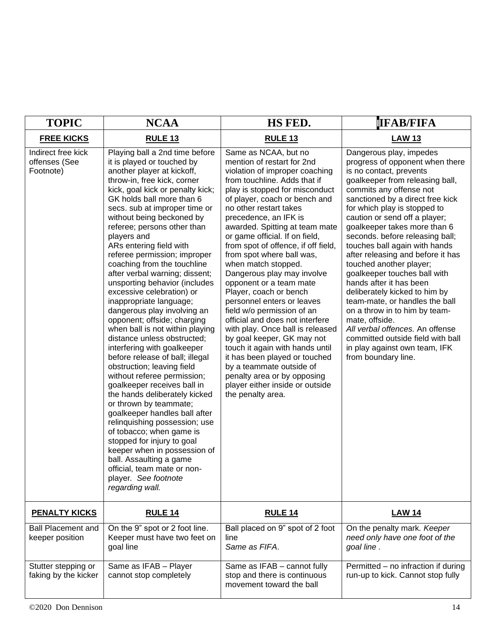| <b>TOPIC</b>                                     | <b>NCAA</b>                                                                                                                                                                                                                                                                                                                                                                                                                                                                                                                                                                                                                                                                                                                                                                                                                                                                                                                                                                                                                                                                                                                                           | HS FED.                                                                                                                                                                                                                                                                                                                                                                                                                                                                                                                                                                                                                                                                                                                                                                                                                                              | <b>IFAB/FIFA</b>                                                                                                                                                                                                                                                                                                                                                                                                                                                                                                                                                                                                                                                                                                                              |
|--------------------------------------------------|-------------------------------------------------------------------------------------------------------------------------------------------------------------------------------------------------------------------------------------------------------------------------------------------------------------------------------------------------------------------------------------------------------------------------------------------------------------------------------------------------------------------------------------------------------------------------------------------------------------------------------------------------------------------------------------------------------------------------------------------------------------------------------------------------------------------------------------------------------------------------------------------------------------------------------------------------------------------------------------------------------------------------------------------------------------------------------------------------------------------------------------------------------|------------------------------------------------------------------------------------------------------------------------------------------------------------------------------------------------------------------------------------------------------------------------------------------------------------------------------------------------------------------------------------------------------------------------------------------------------------------------------------------------------------------------------------------------------------------------------------------------------------------------------------------------------------------------------------------------------------------------------------------------------------------------------------------------------------------------------------------------------|-----------------------------------------------------------------------------------------------------------------------------------------------------------------------------------------------------------------------------------------------------------------------------------------------------------------------------------------------------------------------------------------------------------------------------------------------------------------------------------------------------------------------------------------------------------------------------------------------------------------------------------------------------------------------------------------------------------------------------------------------|
| <b>FREE KICKS</b>                                | <b>RULE 13</b>                                                                                                                                                                                                                                                                                                                                                                                                                                                                                                                                                                                                                                                                                                                                                                                                                                                                                                                                                                                                                                                                                                                                        | <b>RULE 13</b>                                                                                                                                                                                                                                                                                                                                                                                                                                                                                                                                                                                                                                                                                                                                                                                                                                       | <b>LAW 13</b>                                                                                                                                                                                                                                                                                                                                                                                                                                                                                                                                                                                                                                                                                                                                 |
| Indirect free kick<br>offenses (See<br>Footnote) | Playing ball a 2nd time before<br>it is played or touched by<br>another player at kickoff,<br>throw-in, free kick, corner<br>kick, goal kick or penalty kick;<br>GK holds ball more than 6<br>secs. sub at improper time or<br>without being beckoned by<br>referee; persons other than<br>players and<br>ARs entering field with<br>referee permission; improper<br>coaching from the touchline<br>after verbal warning; dissent;<br>unsporting behavior (includes<br>excessive celebration) or<br>inappropriate language;<br>dangerous play involving an<br>opponent; offside; charging<br>when ball is not within playing<br>distance unless obstructed;<br>interfering with goalkeeper<br>before release of ball; illegal<br>obstruction; leaving field<br>without referee permission;<br>goalkeeper receives ball in<br>the hands deliberately kicked<br>or thrown by teammate;<br>goalkeeper handles ball after<br>relinquishing possession; use<br>of tobacco; when game is<br>stopped for injury to goal<br>keeper when in possession of<br>ball. Assaulting a game<br>official, team mate or non-<br>player. See footnote<br>regarding wall. | Same as NCAA, but no<br>mention of restart for 2nd<br>violation of improper coaching<br>from touchline. Adds that if<br>play is stopped for misconduct<br>of player, coach or bench and<br>no other restart takes<br>precedence, an IFK is<br>awarded. Spitting at team mate<br>or game official. If on field,<br>from spot of offence, if off field,<br>from spot where ball was,<br>when match stopped.<br>Dangerous play may involve<br>opponent or a team mate<br>Player, coach or bench<br>personnel enters or leaves<br>field w/o permission of an<br>official and does not interfere<br>with play. Once ball is released<br>by goal keeper, GK may not<br>touch it again with hands until<br>it has been played or touched<br>by a teammate outside of<br>penalty area or by opposing<br>player either inside or outside<br>the penalty area. | Dangerous play, impedes<br>progress of opponent when there<br>is no contact, prevents<br>goalkeeper from releasing ball,<br>commits any offense not<br>sanctioned by a direct free kick<br>for which play is stopped to<br>caution or send off a player;<br>goalkeeper takes more than 6<br>seconds. before releasing ball;<br>touches ball again with hands<br>after releasing and before it has<br>touched another player;<br>goalkeeper touches ball with<br>hands after it has been<br>deliberately kicked to him by<br>team-mate, or handles the ball<br>on a throw in to him by team-<br>mate, offside.<br>All verbal offences. An offense<br>committed outside field with ball<br>in play against own team, IFK<br>from boundary line. |
| <b>PENALTY KICKS</b>                             | <b>RULE 14</b>                                                                                                                                                                                                                                                                                                                                                                                                                                                                                                                                                                                                                                                                                                                                                                                                                                                                                                                                                                                                                                                                                                                                        | <b>RULE 14</b>                                                                                                                                                                                                                                                                                                                                                                                                                                                                                                                                                                                                                                                                                                                                                                                                                                       | <b>LAW 14</b>                                                                                                                                                                                                                                                                                                                                                                                                                                                                                                                                                                                                                                                                                                                                 |
| <b>Ball Placement and</b><br>keeper position     | On the 9" spot or 2 foot line.<br>Keeper must have two feet on<br>goal line                                                                                                                                                                                                                                                                                                                                                                                                                                                                                                                                                                                                                                                                                                                                                                                                                                                                                                                                                                                                                                                                           | Ball placed on 9" spot of 2 foot<br>line<br>Same as FIFA.                                                                                                                                                                                                                                                                                                                                                                                                                                                                                                                                                                                                                                                                                                                                                                                            | On the penalty mark. Keeper<br>need only have one foot of the<br>goal line.                                                                                                                                                                                                                                                                                                                                                                                                                                                                                                                                                                                                                                                                   |
| Stutter stepping or<br>faking by the kicker      | Same as IFAB - Player<br>cannot stop completely                                                                                                                                                                                                                                                                                                                                                                                                                                                                                                                                                                                                                                                                                                                                                                                                                                                                                                                                                                                                                                                                                                       | Same as IFAB - cannot fully<br>stop and there is continuous<br>movement toward the ball                                                                                                                                                                                                                                                                                                                                                                                                                                                                                                                                                                                                                                                                                                                                                              | Permitted - no infraction if during<br>run-up to kick. Cannot stop fully                                                                                                                                                                                                                                                                                                                                                                                                                                                                                                                                                                                                                                                                      |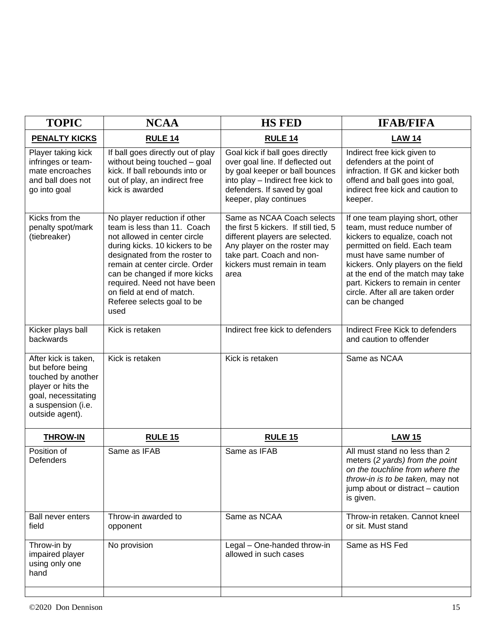| <b>TOPIC</b>                                                                                                                                         | <b>NCAA</b>                                                                                                                                                                                                                                                                                                                         | <b>HS FED</b>                                                                                                                                                                                              | <b>IFAB/FIFA</b>                                                                                                                                                                                                                                                                                                                     |
|------------------------------------------------------------------------------------------------------------------------------------------------------|-------------------------------------------------------------------------------------------------------------------------------------------------------------------------------------------------------------------------------------------------------------------------------------------------------------------------------------|------------------------------------------------------------------------------------------------------------------------------------------------------------------------------------------------------------|--------------------------------------------------------------------------------------------------------------------------------------------------------------------------------------------------------------------------------------------------------------------------------------------------------------------------------------|
| <b>PENALTY KICKS</b>                                                                                                                                 | <b>RULE 14</b>                                                                                                                                                                                                                                                                                                                      | <b>RULE 14</b>                                                                                                                                                                                             | <b>LAW 14</b>                                                                                                                                                                                                                                                                                                                        |
| Player taking kick<br>infringes or team-<br>mate encroaches<br>and ball does not<br>go into goal                                                     | If ball goes directly out of play<br>without being touched - goal<br>kick. If ball rebounds into or<br>out of play, an indirect free<br>kick is awarded                                                                                                                                                                             | Goal kick if ball goes directly<br>over goal line. If deflected out<br>by goal keeper or ball bounces<br>into play - Indirect free kick to<br>defenders. If saved by goal<br>keeper, play continues        | Indirect free kick given to<br>defenders at the point of<br>infraction. If GK and kicker both<br>offend and ball goes into goal,<br>indirect free kick and caution to<br>keeper.                                                                                                                                                     |
| Kicks from the<br>penalty spot/mark<br>(tiebreaker)                                                                                                  | No player reduction if other<br>team is less than 11. Coach<br>not allowed in center circle<br>during kicks. 10 kickers to be<br>designated from the roster to<br>remain at center circle. Order<br>can be changed if more kicks<br>required. Need not have been<br>on field at end of match.<br>Referee selects goal to be<br>used | Same as NCAA Coach selects<br>the first 5 kickers. If still tied, 5<br>different players are selected.<br>Any player on the roster may<br>take part. Coach and non-<br>kickers must remain in team<br>area | If one team playing short, other<br>team, must reduce number of<br>kickers to equalize, coach not<br>permitted on field. Each team<br>must have same number of<br>kickers. Only players on the field<br>at the end of the match may take<br>part. Kickers to remain in center<br>circle. After all are taken order<br>can be changed |
| Kicker plays ball<br>backwards                                                                                                                       | Kick is retaken                                                                                                                                                                                                                                                                                                                     | Indirect free kick to defenders                                                                                                                                                                            | Indirect Free Kick to defenders<br>and caution to offender                                                                                                                                                                                                                                                                           |
| After kick is taken,<br>but before being<br>touched by another<br>player or hits the<br>goal, necessitating<br>a suspension (i.e.<br>outside agent). | Kick is retaken                                                                                                                                                                                                                                                                                                                     | Kick is retaken                                                                                                                                                                                            | Same as NCAA                                                                                                                                                                                                                                                                                                                         |
| <b>THROW-IN</b>                                                                                                                                      | <b>RULE 15</b>                                                                                                                                                                                                                                                                                                                      | <b>RULE 15</b>                                                                                                                                                                                             | <b>LAW 15</b>                                                                                                                                                                                                                                                                                                                        |
| Position of<br>Defenders                                                                                                                             | Same as IFAB                                                                                                                                                                                                                                                                                                                        | Same as IFAB                                                                                                                                                                                               | All must stand no less than 2<br>meters (2 yards) from the point<br>on the touchline from where the<br>throw-in is to be taken, may not<br>jump about or distract - caution<br>is given.                                                                                                                                             |
| <b>Ball never enters</b><br>field                                                                                                                    | Throw-in awarded to<br>opponent                                                                                                                                                                                                                                                                                                     | Same as NCAA                                                                                                                                                                                               | Throw-in retaken. Cannot kneel<br>or sit. Must stand                                                                                                                                                                                                                                                                                 |
| Throw-in by<br>impaired player<br>using only one<br>hand                                                                                             | No provision                                                                                                                                                                                                                                                                                                                        | Legal - One-handed throw-in<br>allowed in such cases                                                                                                                                                       | Same as HS Fed                                                                                                                                                                                                                                                                                                                       |
|                                                                                                                                                      |                                                                                                                                                                                                                                                                                                                                     |                                                                                                                                                                                                            |                                                                                                                                                                                                                                                                                                                                      |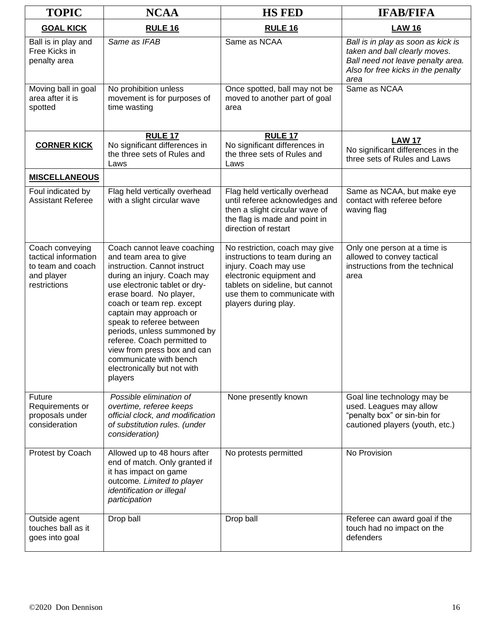| <b>TOPIC</b>                                                                               | <b>NCAA</b>                                                                                                                                                                                                                                                                                                                                                                                                                          | <b>HS FED</b>                                                                                                                                                                                                    | <b>IFAB/FIFA</b>                                                                                                                                       |
|--------------------------------------------------------------------------------------------|--------------------------------------------------------------------------------------------------------------------------------------------------------------------------------------------------------------------------------------------------------------------------------------------------------------------------------------------------------------------------------------------------------------------------------------|------------------------------------------------------------------------------------------------------------------------------------------------------------------------------------------------------------------|--------------------------------------------------------------------------------------------------------------------------------------------------------|
| <b>GOAL KICK</b>                                                                           | RULE <sub>16</sub>                                                                                                                                                                                                                                                                                                                                                                                                                   | RULE <sub>16</sub>                                                                                                                                                                                               | <b>LAW 16</b>                                                                                                                                          |
| Ball is in play and<br>Free Kicks in<br>penalty area                                       | Same as IFAB                                                                                                                                                                                                                                                                                                                                                                                                                         | Same as NCAA                                                                                                                                                                                                     | Ball is in play as soon as kick is<br>taken and ball clearly moves.<br>Ball need not leave penalty area.<br>Also for free kicks in the penalty<br>area |
| Moving ball in goal<br>area after it is<br>spotted                                         | No prohibition unless<br>movement is for purposes of<br>time wasting                                                                                                                                                                                                                                                                                                                                                                 | Once spotted, ball may not be<br>moved to another part of goal<br>area                                                                                                                                           | Same as NCAA                                                                                                                                           |
| <b>CORNER KICK</b>                                                                         | <b>RULE 17</b><br>No significant differences in<br>the three sets of Rules and<br>Laws                                                                                                                                                                                                                                                                                                                                               | <b>RULE 17</b><br>No significant differences in<br>the three sets of Rules and<br>Laws                                                                                                                           | <b>LAW 17</b><br>No significant differences in the<br>three sets of Rules and Laws                                                                     |
| <b>MISCELLANEOUS</b>                                                                       |                                                                                                                                                                                                                                                                                                                                                                                                                                      |                                                                                                                                                                                                                  |                                                                                                                                                        |
| Foul indicated by<br><b>Assistant Referee</b>                                              | Flag held vertically overhead<br>with a slight circular wave                                                                                                                                                                                                                                                                                                                                                                         | Flag held vertically overhead<br>until referee acknowledges and<br>then a slight circular wave of<br>the flag is made and point in<br>direction of restart                                                       | Same as NCAA, but make eye<br>contact with referee before<br>waving flag                                                                               |
| Coach conveying<br>tactical information<br>to team and coach<br>and player<br>restrictions | Coach cannot leave coaching<br>and team area to give<br>instruction. Cannot instruct<br>during an injury. Coach may<br>use electronic tablet or dry-<br>erase board. No player,<br>coach or team rep. except<br>captain may approach or<br>speak to referee between<br>periods, unless summoned by<br>referee. Coach permitted to<br>view from press box and can<br>communicate with bench<br>electronically but not with<br>players | No restriction, coach may give<br>instructions to team during an<br>injury. Coach may use<br>electronic equipment and<br>tablets on sideline, but cannot<br>use them to communicate with<br>players during play. | Only one person at a time is<br>allowed to convey tactical<br>instructions from the technical<br>area                                                  |
| Future<br>Requirements or<br>proposals under<br>consideration                              | Possible elimination of<br>overtime, referee keeps<br>official clock, and modification<br>of substitution rules. (under<br>consideration)                                                                                                                                                                                                                                                                                            | None presently known                                                                                                                                                                                             | Goal line technology may be<br>used. Leagues may allow<br>"penalty box" or sin-bin for<br>cautioned players (youth, etc.)                              |
| Protest by Coach                                                                           | Allowed up to 48 hours after<br>end of match. Only granted if<br>it has impact on game<br>outcome. Limited to player<br>identification or illegal<br>participation                                                                                                                                                                                                                                                                   | No protests permitted                                                                                                                                                                                            | No Provision                                                                                                                                           |
| Outside agent<br>touches ball as it<br>goes into goal                                      | Drop ball                                                                                                                                                                                                                                                                                                                                                                                                                            | Drop ball                                                                                                                                                                                                        | Referee can award goal if the<br>touch had no impact on the<br>defenders                                                                               |